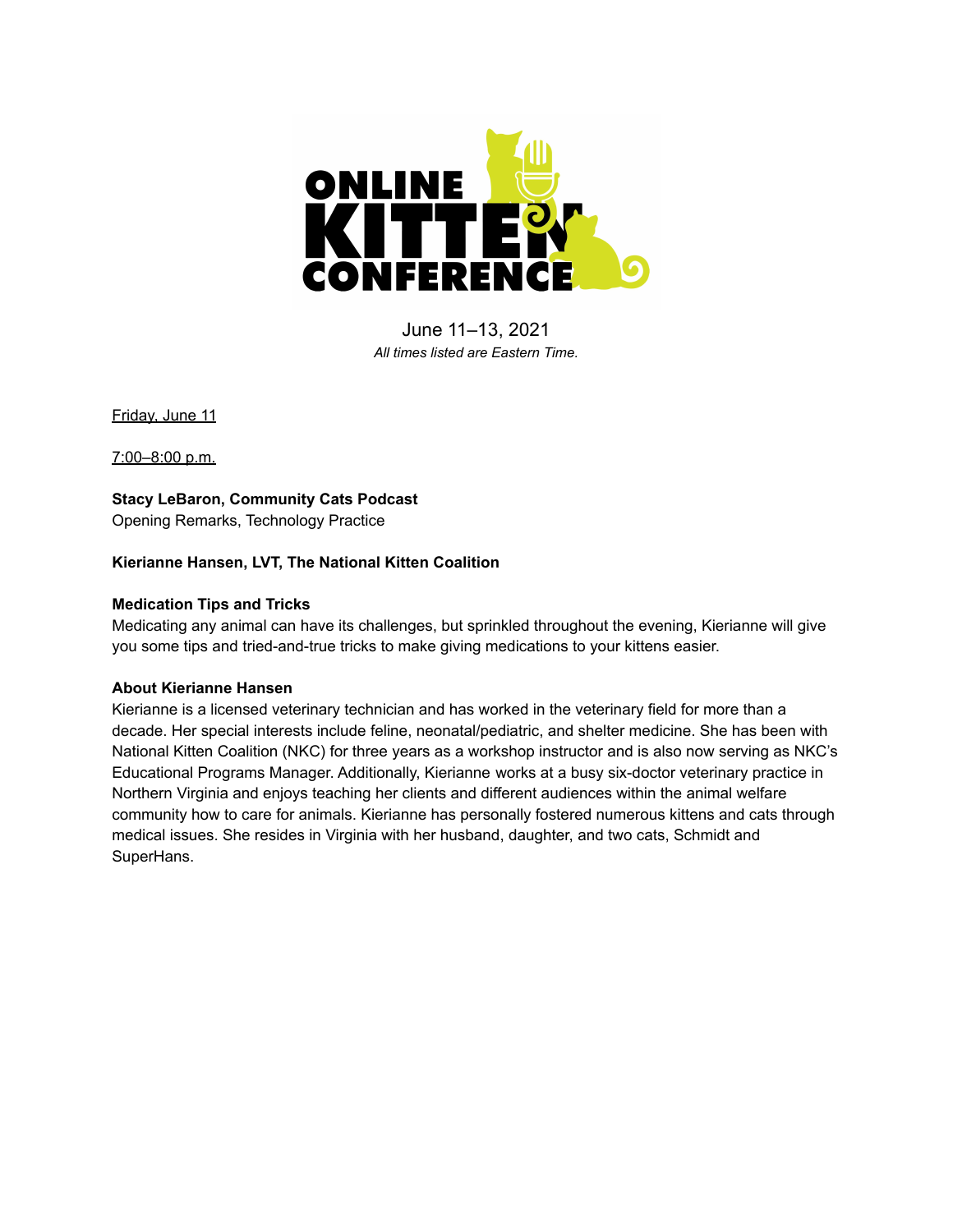

June 11–13, 2021 *All times listed are Eastern Time.*

Friday, June 11

7:00–8:00 p.m.

**Stacy LeBaron, Community Cats Podcast** Opening Remarks, Technology Practice

# **Kierianne Hansen, LVT, The National Kitten Coalition**

# **Medication Tips and Tricks**

Medicating any animal can have its challenges, but sprinkled throughout the evening, Kierianne will give you some tips and tried-and-true tricks to make giving medications to your kittens easier.

## **About Kierianne Hansen**

Kierianne is a licensed veterinary technician and has worked in the veterinary field for more than a decade. Her special interests include feline, neonatal/pediatric, and shelter medicine. She has been with National Kitten Coalition (NKC) for three years as a workshop instructor and is also now serving as NKC's Educational Programs Manager. Additionally, Kierianne works at a busy six-doctor veterinary practice in Northern Virginia and enjoys teaching her clients and different audiences within the animal welfare community how to care for animals. Kierianne has personally fostered numerous kittens and cats through medical issues. She resides in Virginia with her husband, daughter, and two cats, Schmidt and SuperHans.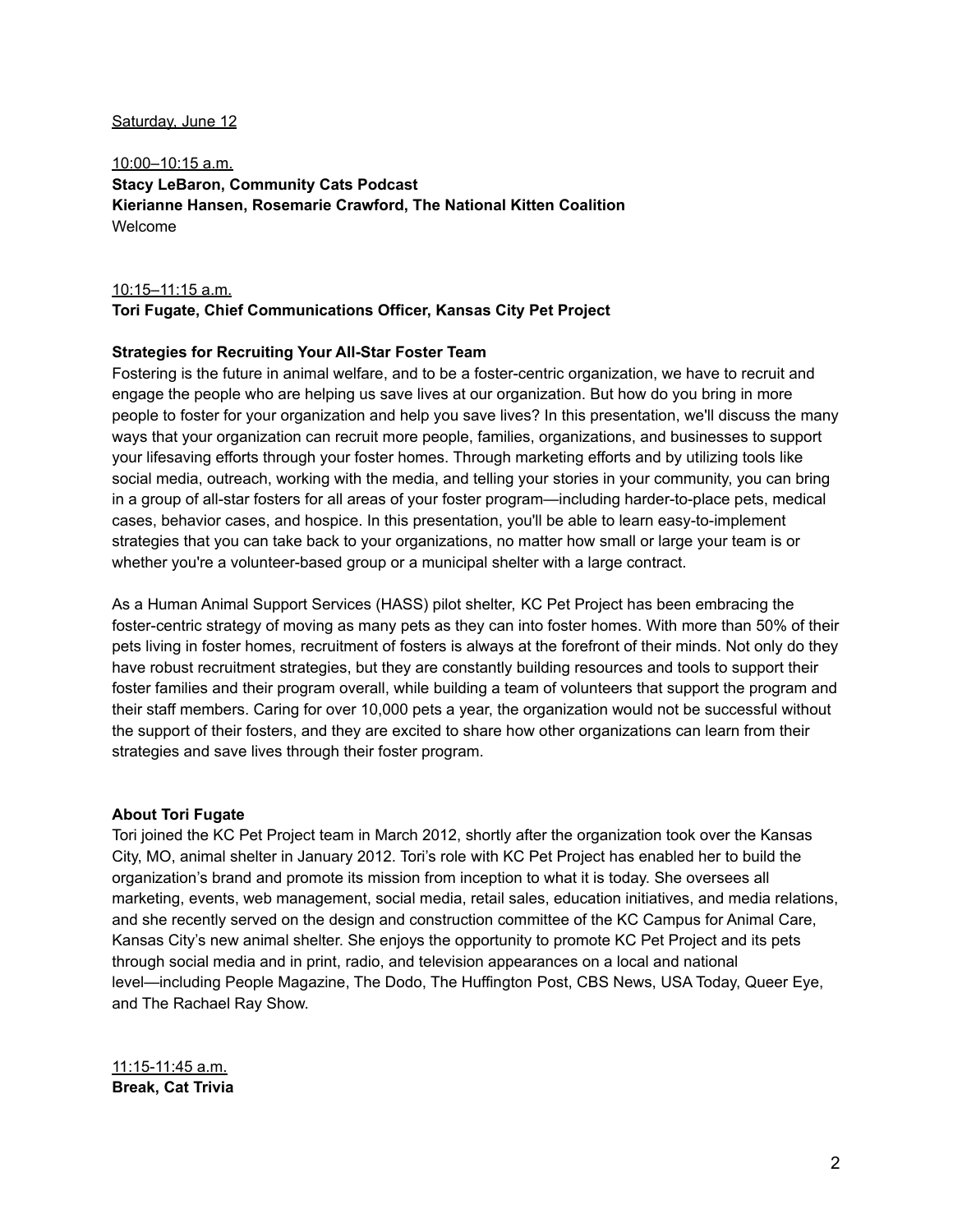#### Saturday, June 12

10:00–10:15 a.m. **Stacy LeBaron, Community Cats Podcast Kierianne Hansen, Rosemarie Crawford, The National Kitten Coalition** Welcome

#### 10:15–11:15 a.m.

## **Tori Fugate, Chief Communications Officer, Kansas City Pet Project**

#### **Strategies for Recruiting Your All-Star Foster Team**

Fostering is the future in animal welfare, and to be a foster-centric organization, we have to recruit and engage the people who are helping us save lives at our organization. But how do you bring in more people to foster for your organization and help you save lives? In this presentation, we'll discuss the many ways that your organization can recruit more people, families, organizations, and businesses to support your lifesaving efforts through your foster homes. Through marketing efforts and by utilizing tools like social media, outreach, working with the media, and telling your stories in your community, you can bring in a group of all-star fosters for all areas of your foster program—including harder-to-place pets, medical cases, behavior cases, and hospice. In this presentation, you'll be able to learn easy-to-implement strategies that you can take back to your organizations, no matter how small or large your team is or whether you're a volunteer-based group or a municipal shelter with a large contract.

As a Human Animal Support Services (HASS) pilot shelter, KC Pet Project has been embracing the foster-centric strategy of moving as many pets as they can into foster homes. With more than 50% of their pets living in foster homes, recruitment of fosters is always at the forefront of their minds. Not only do they have robust recruitment strategies, but they are constantly building resources and tools to support their foster families and their program overall, while building a team of volunteers that support the program and their staff members. Caring for over 10,000 pets a year, the organization would not be successful without the support of their fosters, and they are excited to share how other organizations can learn from their strategies and save lives through their foster program.

#### **About Tori Fugate**

Tori joined the KC Pet Project team in March 2012, shortly after the organization took over the Kansas City, MO, animal shelter in January 2012. Tori's role with KC Pet Project has enabled her to build the organization's brand and promote its mission from inception to what it is today. She oversees all marketing, events, web management, social media, retail sales, education initiatives, and media relations, and she recently served on the design and construction committee of the KC Campus for Animal Care, Kansas City's new animal shelter. She enjoys the opportunity to promote KC Pet Project and its pets through social media and in print, radio, and television appearances on a local and national level—including People Magazine, The Dodo, The Huffington Post, CBS News, USA Today, Queer Eye, and The Rachael Ray Show.

11:15-11:45 a.m. **Break, Cat Trivia**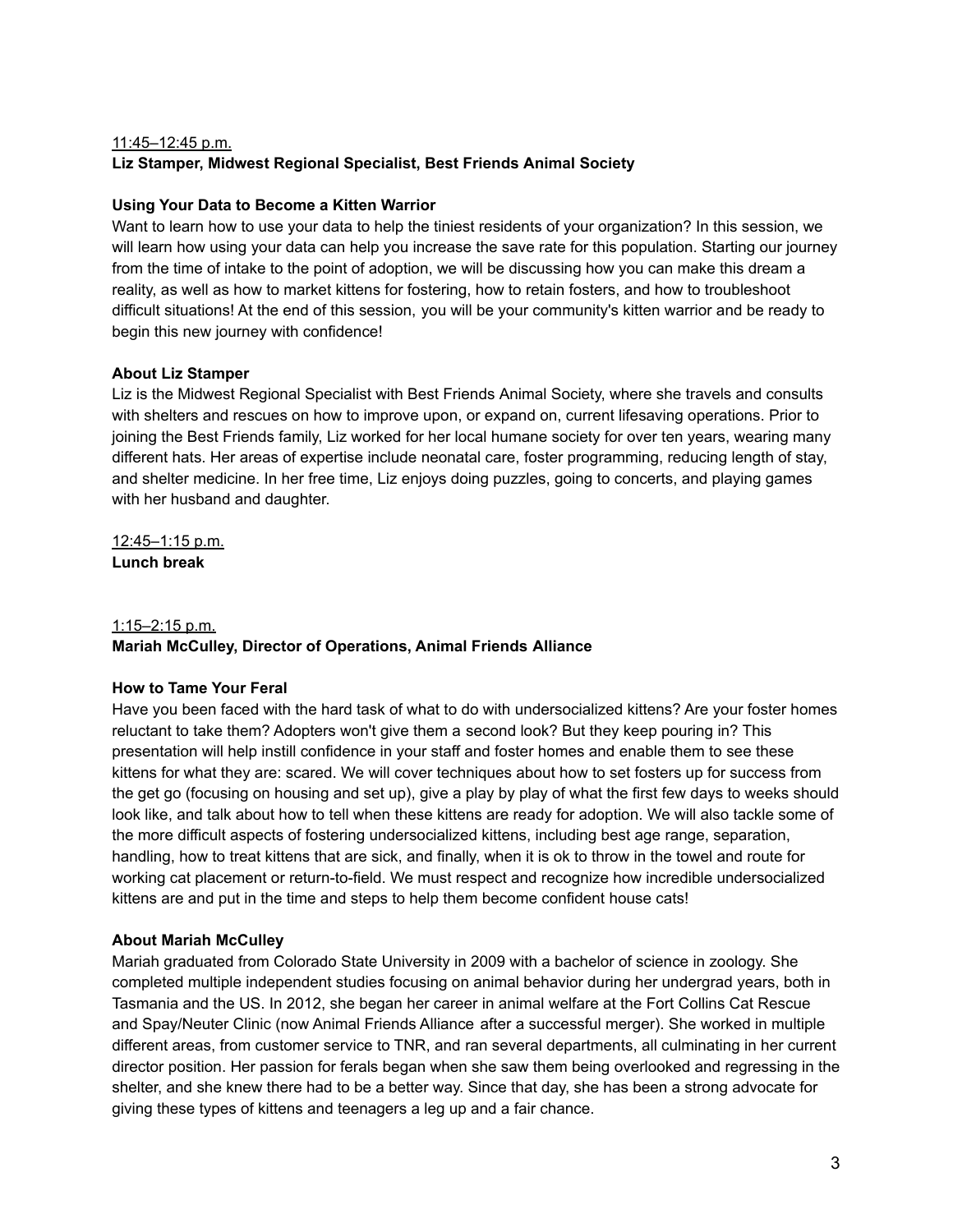# 11:45–12:45 p.m. **Liz Stamper, Midwest Regional Specialist, Best Friends Animal Society**

# **Using Your Data to Become a Kitten Warrior**

Want to learn how to use your data to help the tiniest residents of your organization? In this session, we will learn how using your data can help you increase the save rate for this population. Starting our journey from the time of intake to the point of adoption, we will be discussing how you can make this dream a reality, as well as how to market kittens for fostering, how to retain fosters, and how to troubleshoot difficult situations! At the end of this session, you will be your community's kitten warrior and be ready to begin this new journey with confidence!

# **About Liz Stamper**

Liz is the Midwest Regional Specialist with Best Friends Animal Society, where she travels and consults with shelters and rescues on how to improve upon, or expand on, current lifesaving operations. Prior to joining the Best Friends family, Liz worked for her local humane society for over ten years, wearing many different hats. Her areas of expertise include neonatal care, foster programming, reducing length of stay, and shelter medicine. In her free time, Liz enjoys doing puzzles, going to concerts, and playing games with her husband and daughter.

12:45–1:15 p.m. **Lunch break**

## 1:15–2:15 p.m.

# **Mariah McCulley, Director of Operations, Animal Friends Alliance**

## **How to Tame Your Feral**

Have you been faced with the hard task of what to do with undersocialized kittens? Are your foster homes reluctant to take them? Adopters won't give them a second look? But they keep pouring in? This presentation will help instill confidence in your staff and foster homes and enable them to see these kittens for what they are: scared. We will cover techniques about how to set fosters up for success from the get go (focusing on housing and set up), give a play by play of what the first few days to weeks should look like, and talk about how to tell when these kittens are ready for adoption. We will also tackle some of the more difficult aspects of fostering undersocialized kittens, including best age range, separation, handling, how to treat kittens that are sick, and finally, when it is ok to throw in the towel and route for working cat placement or return-to-field. We must respect and recognize how incredible undersocialized kittens are and put in the time and steps to help them become confident house cats!

## **About Mariah McCulley**

Mariah graduated from Colorado State University in 2009 with a bachelor of science in zoology. She completed multiple independent studies focusing on animal behavior during her undergrad years, both in Tasmania and the US. In 2012, she began her career in animal welfare at the Fort Collins Cat Rescue and Spay/Neuter Clinic (now Animal Friends Alliance after a successful merger). She worked in multiple different areas, from customer service to TNR, and ran several departments, all culminating in her current director position. Her passion for ferals began when she saw them being overlooked and regressing in the shelter, and she knew there had to be a better way. Since that day, she has been a strong advocate for giving these types of kittens and teenagers a leg up and a fair chance.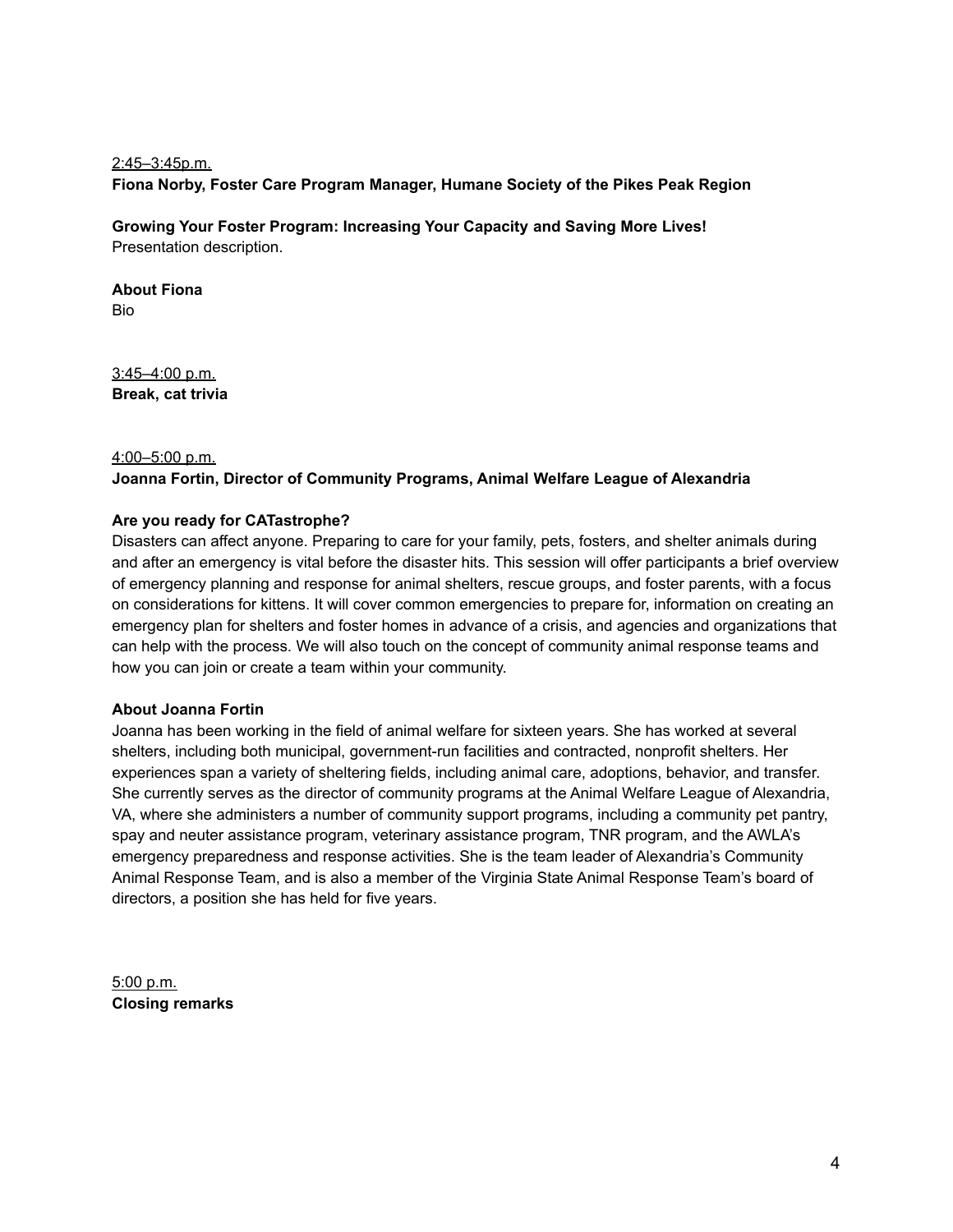# 2:45–3:45p.m. **Fiona Norby, Foster Care Program Manager, Humane Society of the Pikes Peak Region**

**Growing Your Foster Program: Increasing Your Capacity and Saving More Lives!** Presentation description.

**About Fiona** Bio

3:45–4:00 p.m. **Break, cat trivia**

## 4:00–5:00 p.m.

## **Joanna Fortin, Director of Community Programs, Animal Welfare League of Alexandria**

## **Are you ready for CATastrophe?**

Disasters can affect anyone. Preparing to care for your family, pets, fosters, and shelter animals during and after an emergency is vital before the disaster hits. This session will offer participants a brief overview of emergency planning and response for animal shelters, rescue groups, and foster parents, with a focus on considerations for kittens. It will cover common emergencies to prepare for, information on creating an emergency plan for shelters and foster homes in advance of a crisis, and agencies and organizations that can help with the process. We will also touch on the concept of community animal response teams and how you can join or create a team within your community.

## **About Joanna Fortin**

Joanna has been working in the field of animal welfare for sixteen years. She has worked at several shelters, including both municipal, government-run facilities and contracted, nonprofit shelters. Her experiences span a variety of sheltering fields, including animal care, adoptions, behavior, and transfer. She currently serves as the director of community programs at the Animal Welfare League of Alexandria, VA, where she administers a number of community support programs, including a community pet pantry, spay and neuter assistance program, veterinary assistance program, TNR program, and the AWLA's emergency preparedness and response activities. She is the team leader of Alexandria's Community Animal Response Team, and is also a member of the Virginia State Animal Response Team's board of directors, a position she has held for five years.

5:00 p.m. **Closing remarks**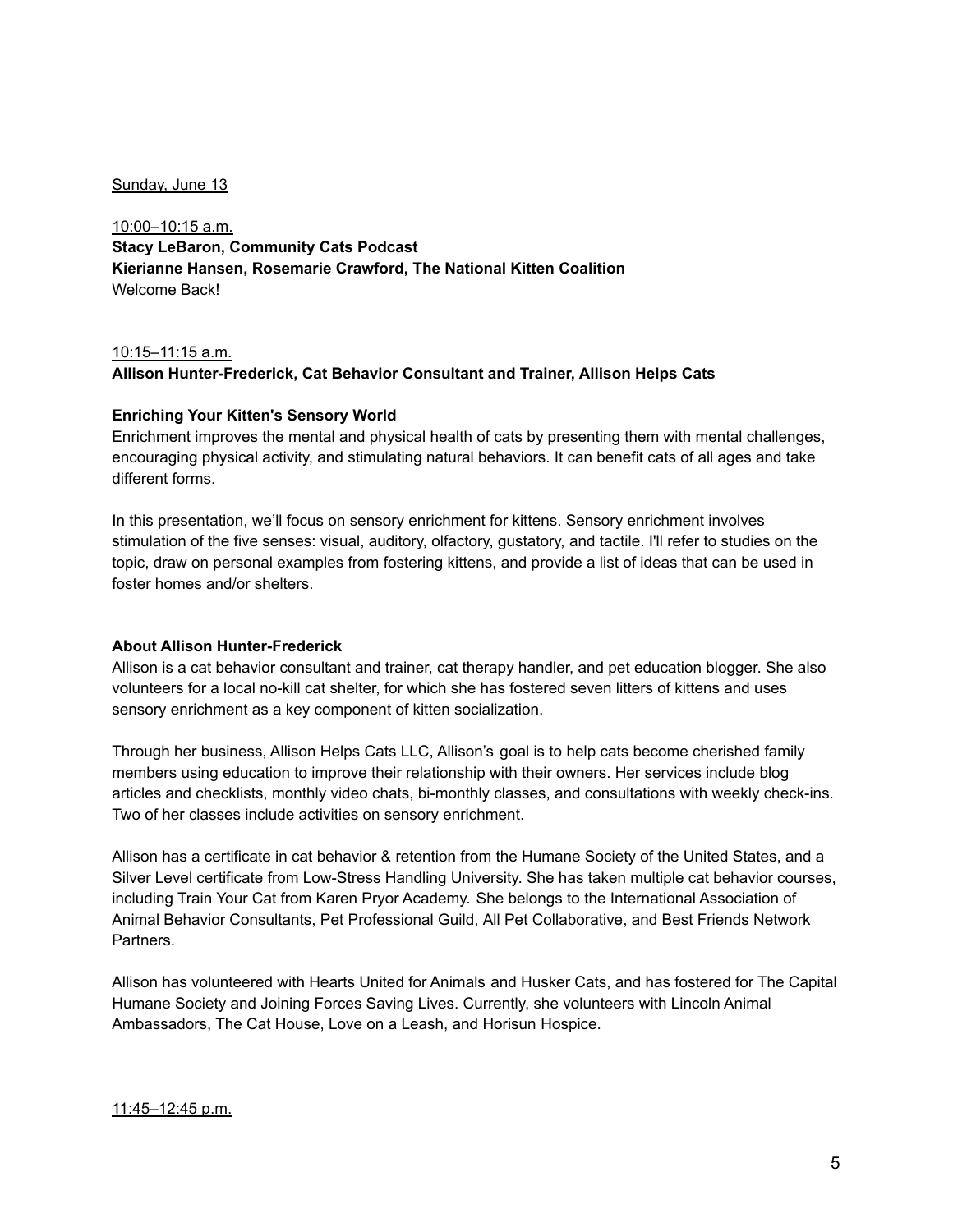#### Sunday, June 13

10:00–10:15 a.m. **Stacy LeBaron, Community Cats Podcast Kierianne Hansen, Rosemarie Crawford, The National Kitten Coalition** Welcome Back!

## 10:15–11:15 a.m. **Allison Hunter-Frederick, Cat Behavior Consultant and Trainer, Allison Helps Cats**

## **Enriching Your Kitten's Sensory World**

Enrichment improves the mental and physical health of cats by presenting them with mental challenges, encouraging physical activity, and stimulating natural behaviors. It can benefit cats of all ages and take different forms.

In this presentation, we'll focus on sensory enrichment for kittens. Sensory enrichment involves stimulation of the five senses: visual, auditory, olfactory, gustatory, and tactile. I'll refer to studies on the topic, draw on personal examples from fostering kittens, and provide a list of ideas that can be used in foster homes and/or shelters.

## **About Allison Hunter-Frederick**

Allison is a cat behavior consultant and trainer, cat therapy handler, and pet education blogger. She also volunteers for a local no-kill cat shelter, for which she has fostered seven litters of kittens and uses sensory enrichment as a key component of kitten socialization.

Through her business, Allison Helps Cats LLC, Allison's goal is to help cats become cherished family members using education to improve their relationship with their owners. Her services include blog articles and checklists, monthly video chats, bi-monthly classes, and consultations with weekly check-ins. Two of her classes include activities on sensory enrichment.

Allison has a certificate in cat behavior & retention from the Humane Society of the United States, and a Silver Level certificate from Low-Stress Handling University. She has taken multiple cat behavior courses, including Train Your Cat from Karen Pryor Academy. She belongs to the International Association of Animal Behavior Consultants, Pet Professional Guild, All Pet Collaborative, and Best Friends Network Partners.

Allison has volunteered with Hearts United for Animals and Husker Cats, and has fostered for The Capital Humane Society and Joining Forces Saving Lives. Currently, she volunteers with Lincoln Animal Ambassadors, The Cat House, Love on a Leash, and Horisun Hospice.

11:45–12:45 p.m.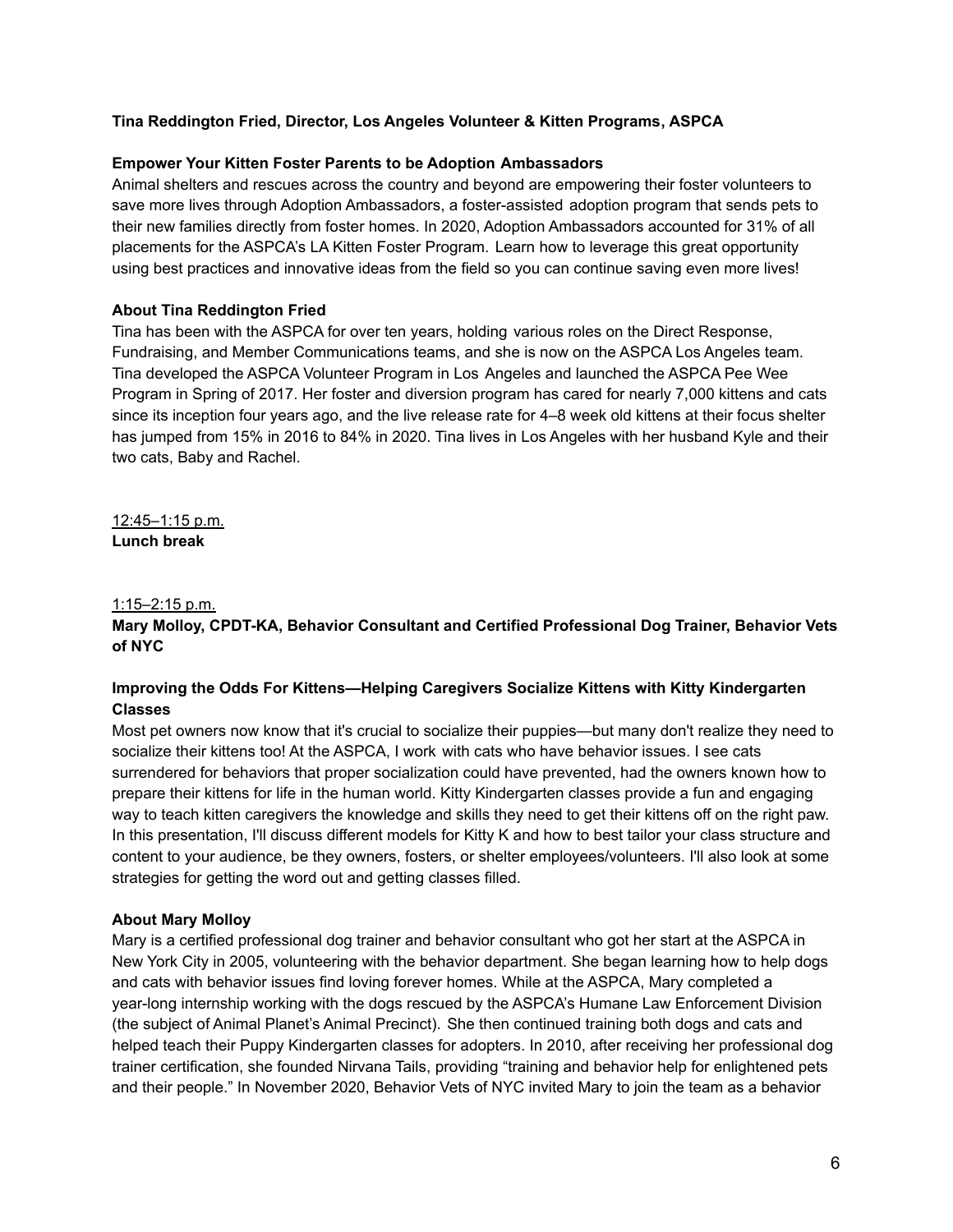## **Tina Reddington Fried, Director, Los Angeles Volunteer & Kitten Programs, ASPCA**

#### **Empower Your Kitten Foster Parents to be Adoption Ambassadors**

Animal shelters and rescues across the country and beyond are empowering their foster volunteers to save more lives through Adoption Ambassadors, a foster-assisted adoption program that sends pets to their new families directly from foster homes. In 2020, Adoption Ambassadors accounted for 31% of all placements for the ASPCA's LA Kitten Foster Program. Learn how to leverage this great opportunity using best practices and innovative ideas from the field so you can continue saving even more lives!

#### **About Tina Reddington Fried**

Tina has been with the ASPCA for over ten years, holding various roles on the Direct Response, Fundraising, and Member Communications teams, and she is now on the ASPCA Los Angeles team. Tina developed the ASPCA Volunteer Program in Los Angeles and launched the ASPCA Pee Wee Program in Spring of 2017. Her foster and diversion program has cared for nearly 7,000 kittens and cats since its inception four years ago, and the live release rate for 4–8 week old kittens at their focus shelter has jumped from 15% in 2016 to 84% in 2020. Tina lives in Los Angeles with her husband Kyle and their two cats, Baby and Rachel.

12:45–1:15 p.m. **Lunch break**

#### 1:15–2:15 p.m.

# **Mary Molloy, CPDT-KA, Behavior Consultant and Certified Professional Dog Trainer, Behavior Vets of NYC**

# **Improving the Odds For Kittens—Helping Caregivers Socialize Kittens with Kitty Kindergarten Classes**

Most pet owners now know that it's crucial to socialize their puppies—but many don't realize they need to socialize their kittens too! At the ASPCA, I work with cats who have behavior issues. I see cats surrendered for behaviors that proper socialization could have prevented, had the owners known how to prepare their kittens for life in the human world. Kitty Kindergarten classes provide a fun and engaging way to teach kitten caregivers the knowledge and skills they need to get their kittens off on the right paw. In this presentation, I'll discuss different models for Kitty K and how to best tailor your class structure and content to your audience, be they owners, fosters, or shelter employees/volunteers. I'll also look at some strategies for getting the word out and getting classes filled.

## **About Mary Molloy**

Mary is a certified professional dog trainer and behavior consultant who got her start at the ASPCA in New York City in 2005, volunteering with the behavior department. She began learning how to help dogs and cats with behavior issues find loving forever homes. While at the ASPCA, Mary completed a year-long internship working with the dogs rescued by the ASPCA's Humane Law Enforcement Division (the subject of Animal Planet's Animal Precinct). She then continued training both dogs and cats and helped teach their Puppy Kindergarten classes for adopters. In 2010, after receiving her professional dog trainer certification, she founded Nirvana Tails, providing "training and behavior help for enlightened pets and their people." In November 2020, Behavior Vets of NYC invited Mary to join the team as a behavior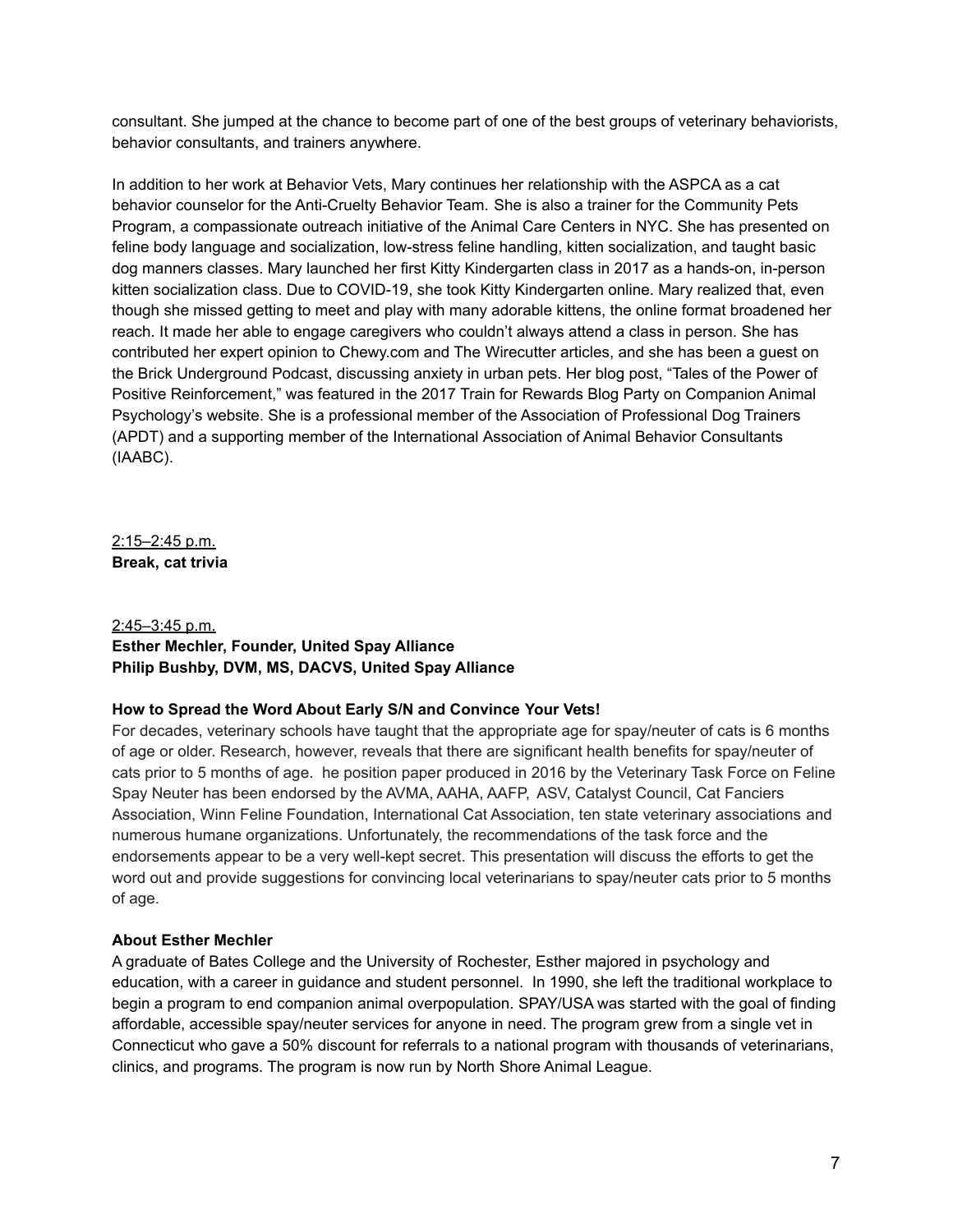consultant. She jumped at the chance to become part of one of the best groups of veterinary behaviorists, behavior consultants, and trainers anywhere.

In addition to her work at Behavior Vets, Mary continues her relationship with the ASPCA as a cat behavior counselor for the Anti-Cruelty Behavior Team. She is also a trainer for the Community Pets Program, a compassionate outreach initiative of the Animal Care Centers in NYC. She has presented on feline body language and socialization, low-stress feline handling, kitten socialization, and taught basic dog manners classes. Mary launched her first Kitty Kindergarten class in 2017 as a hands-on, in-person kitten socialization class. Due to COVID-19, she took Kitty Kindergarten online. Mary realized that, even though she missed getting to meet and play with many adorable kittens, the online format broadened her reach. It made her able to engage caregivers who couldn't always attend a class in person. She has contributed her expert opinion to Chewy.com and The Wirecutter articles, and she has been a guest on the Brick Underground Podcast, discussing anxiety in urban pets. Her blog post, "Tales of the Power of Positive Reinforcement," was featured in the 2017 Train for Rewards Blog Party on Companion Animal Psychology's website. She is a professional member of the Association of Professional Dog Trainers (APDT) and a supporting member of the International Association of Animal Behavior Consultants (IAABC).

2:15–2:45 p.m. **Break, cat trivia**

## 2:45–3:45 p.m. **Esther Mechler, Founder, United Spay Alliance Philip Bushby, DVM, MS, DACVS, United Spay Alliance**

## **How to Spread the Word About Early S/N and Convince Your Vets!**

For decades, veterinary schools have taught that the appropriate age for spay/neuter of cats is 6 months of age or older. Research, however, reveals that there are significant health benefits for spay/neuter of cats prior to 5 months of age. he position paper produced in 2016 by the Veterinary Task Force on Feline Spay Neuter has been endorsed by the AVMA, AAHA, AAFP, ASV, Catalyst Council, Cat Fanciers Association, Winn Feline Foundation, International Cat Association, ten state veterinary associations and numerous humane organizations. Unfortunately, the recommendations of the task force and the endorsements appear to be a very well-kept secret. This presentation will discuss the efforts to get the word out and provide suggestions for convincing local veterinarians to spay/neuter cats prior to 5 months of age.

## **About Esther Mechler**

A graduate of Bates College and the University of Rochester, Esther majored in psychology and education, with a career in guidance and student personnel. In 1990, she left the traditional workplace to begin a program to end companion animal overpopulation. SPAY/USA was started with the goal of finding affordable, accessible spay/neuter services for anyone in need. The program grew from a single vet in Connecticut who gave a 50% discount for referrals to a national program with thousands of veterinarians, clinics, and programs. The program is now run by North Shore Animal League.